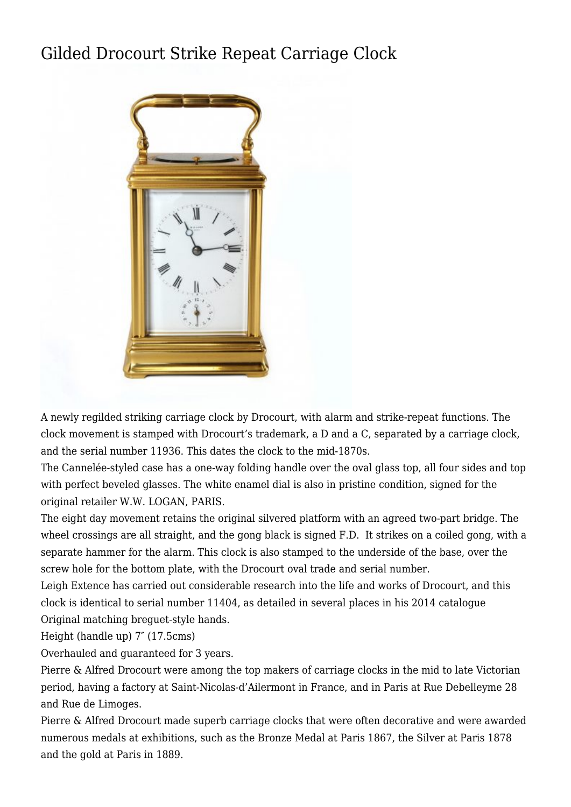## [Gilded Drocourt Strike Repeat Carriage Clock](http://www.ukclocks.com/products/gilded-drocourt-strike-repeat-carriage-clock/)



A newly regilded striking carriage clock by Drocourt, with alarm and strike-repeat functions. The clock movement is stamped with Drocourt's trademark, a D and a C, separated by a carriage clock, and the serial number 11936. This dates the clock to the mid-1870s.

The Cannelée-styled case has a one-way folding handle over the oval glass top, all four sides and top with perfect beveled glasses. The white enamel dial is also in pristine condition, signed for the original retailer W.W. LOGAN, PARIS.

The eight day movement retains the original silvered platform with an agreed two-part bridge. The wheel crossings are all straight, and the gong black is signed F.D. It strikes on a coiled gong, with a separate hammer for the alarm. This clock is also stamped to the underside of the base, over the screw hole for the bottom plate, with the Drocourt oval trade and serial number.

Leigh Extence has carried out considerable research into the life and works of Drocourt, and this clock is identical to serial number 11404, as detailed in several places in his [2014 catalogue](http://www.extence.co.uk/index_htm_files/Drocourt%20Catalogue%202014.pdf) Original matching breguet-style hands.

Height (handle up) 7″ (17.5cms)

Overhauled and guaranteed for 3 years.

Pierre & Alfred Drocourt were among the top makers of carriage clocks in the mid to late Victorian period, having a factory at Saint-Nicolas-d'Ailermont in France, and in Paris at Rue Debelleyme 28 and Rue de Limoges.

Pierre & Alfred Drocourt made superb carriage clocks that were often decorative and were awarded numerous medals at exhibitions, such as the Bronze Medal at Paris 1867, the Silver at Paris 1878 and the gold at Paris in 1889.